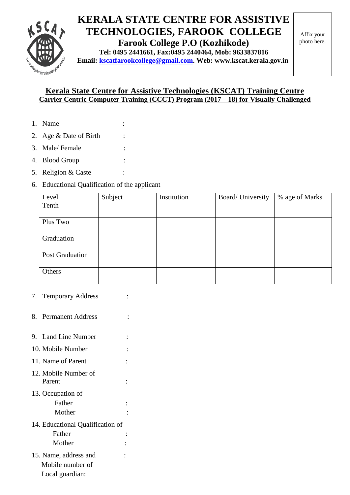

## **KERALA STATE CENTRE FOR ASSISTIVE TECHNOLOGIES, FAROOK COLLEGE**

**Farook College P.O (Kozhikode)**

**Tel: 0495 2441661, Fax:0495 2440464, Mob: 9633837816 Email: [kscatfarookcollege@gmail.com.](mailto:kscatfarookcollege@gmail.com) Web: www.kscat.kerala.gov.in**

Affix your photo here.

## **Kerala State Centre for Assistive Technologies (KSCAT) Training Centre Carrier Centric Computer Training (CCCT) Program (2017 – 18) for Visually Challenged**

- 1. Name :
- 2. Age & Date of Birth :
- 3. Male/ Female :
- 4. Blood Group :
- 5. Religion & Caste :
- 6. Educational Qualification of the applicant

| Level                  | Subject | Institution | Board/University | % age of Marks |
|------------------------|---------|-------------|------------------|----------------|
| Tenth                  |         |             |                  |                |
|                        |         |             |                  |                |
| Plus Two               |         |             |                  |                |
|                        |         |             |                  |                |
| Graduation             |         |             |                  |                |
|                        |         |             |                  |                |
| <b>Post Graduation</b> |         |             |                  |                |
|                        |         |             |                  |                |
| Others                 |         |             |                  |                |
|                        |         |             |                  |                |

- 7. Temporary Address :
- 8. Permanent Address :
- 9. Land Line Number : 10. Mobile Number : 11. Name of Parent : 12. Mobile Number of Parent : 13. Occupation of Father :  $\qquad \qquad$ : Mother : 14. Educational Qualification of Father : Mother : 15. Name, address and : Mobile number of Local guardian: